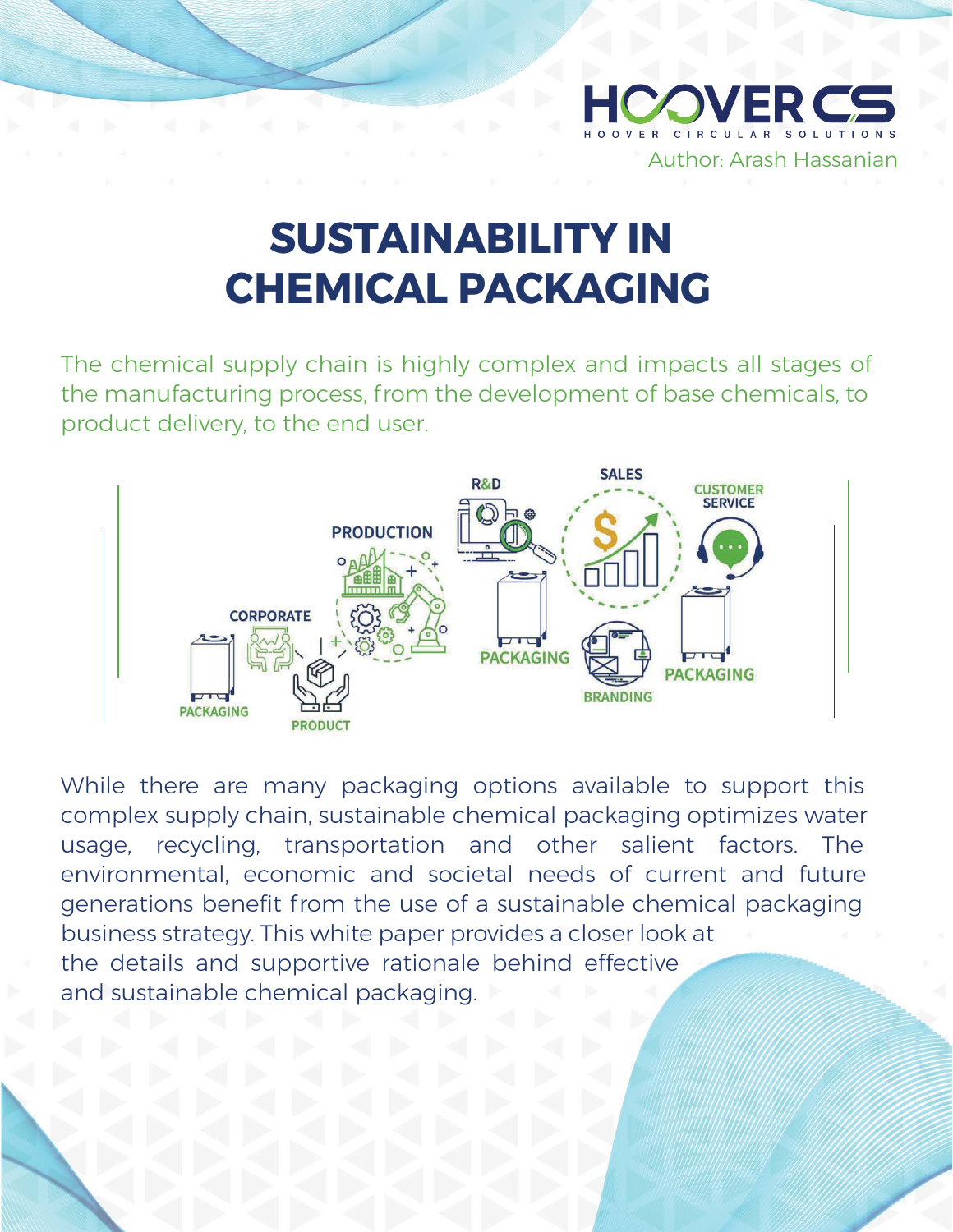

## **SUSTAINABILITY IN CHEMICAL PACKAGING**

The chemical supply chain is highly complex and impacts all stages of the manufacturing process, from the development of base chemicals, to product delivery, to the end user.



While there are many packaging options available to support this complex supply chain, sustainable chemical packaging optimizes water usage, recycling, transportation and other salient factors. The environmental, economic and societal needs of current and future generations benefit from the use of a sustainable chemical packaging business strategy. This white paper provides a closer look at the details and supportive rationale behind effective and sustainable chemical packaging.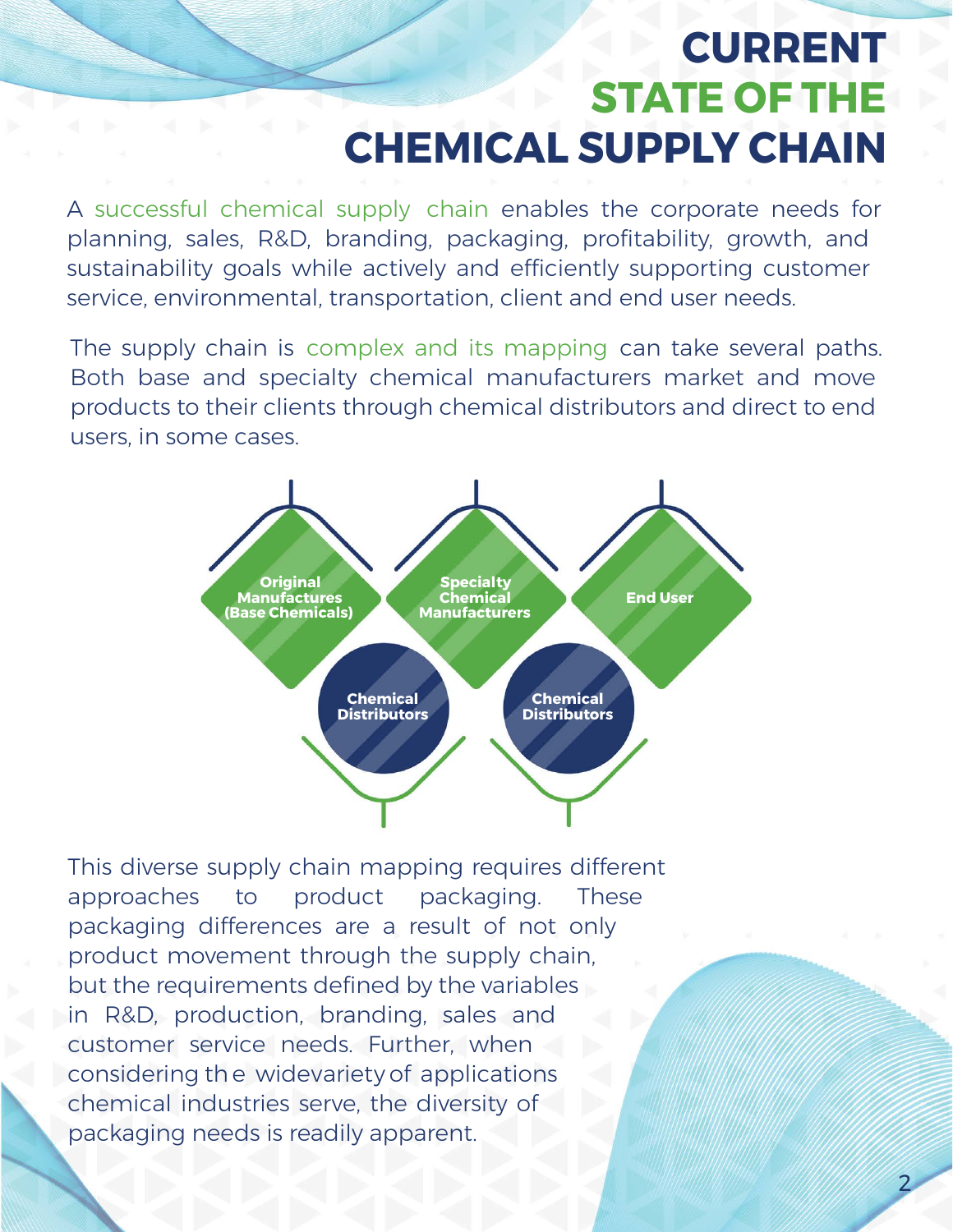## **CURRENT STATE OF THE CHEMICAL SUPPLY CHAIN**

2

A successful chemical supply chain enables the corporate needs for planning, sales, R&D, branding, packaging, profitability, growth, and sustainability goals while actively and efficiently supporting customer service, environmental, transportation, client and end user needs.

The supply chain is complex and its mapping can take several paths. Both base and specialty chemical manufacturers market and move products to their clients through chemical distributors and direct to end users, in some cases.



This diverse supply chain mapping requires different approaches to product packaging. These packaging differences are a result of not only product movement through the supply chain, but the requirements defined by the variables in R&D, production, branding, sales and customer service needs. Further, when considering th e widevariety of applications chemical industries serve, the diversity of packaging needs is readily apparent.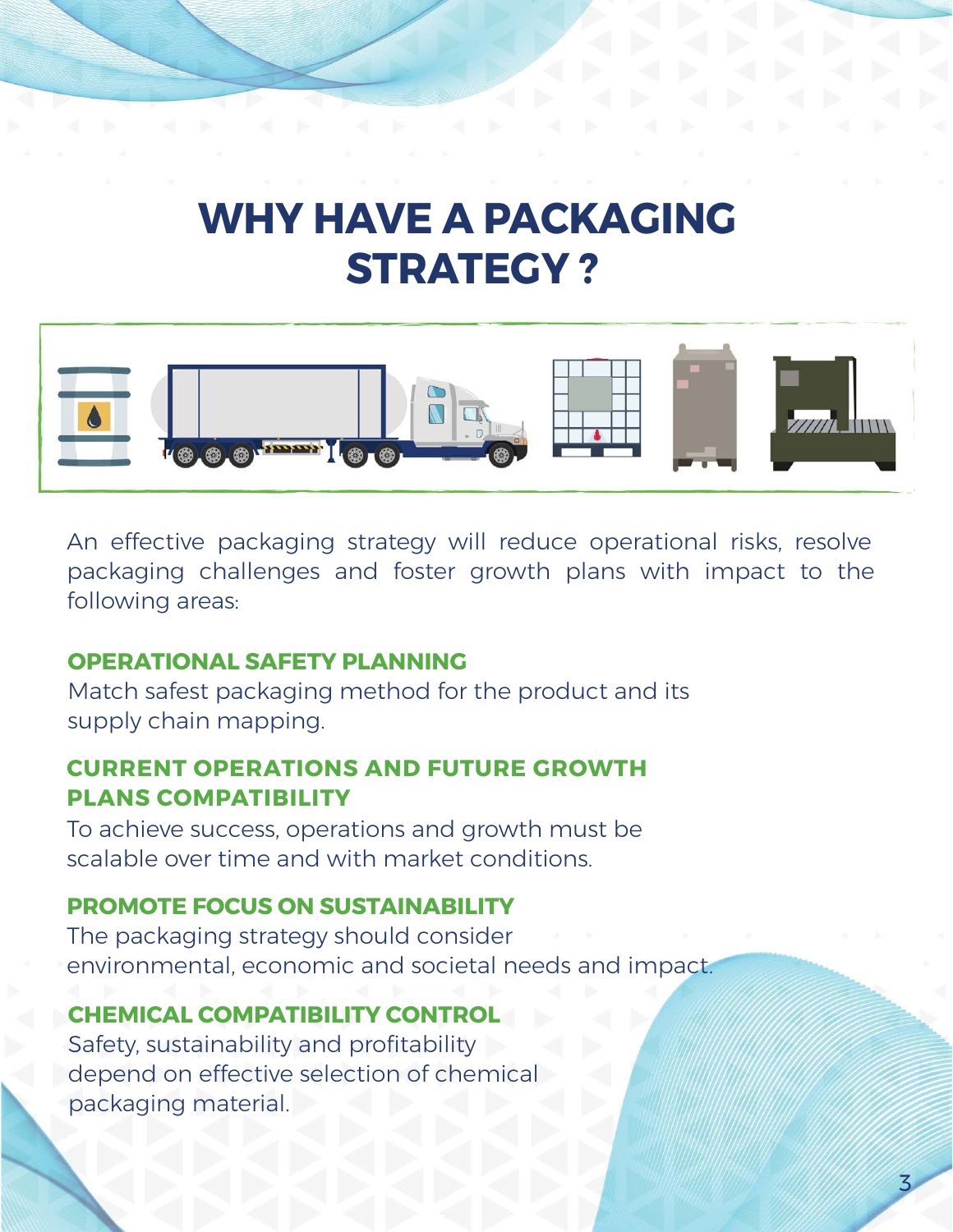## **WHY HAVE A PACKAGING STRATEGY ?**



An effective packaging strategy will reduce operational risks, resolve packaging challenges and foster growth plans with impact to the following areas:

3

### **OPERATIONAL SAFETY PLANNING**

Match safest packaging method for the product and its supply chain mapping.

#### **CURRENT OPERATIONS AND FUTURE GROWTH PLANS COMPATIBILITY**

To achieve success, operations and growth must be scalable over time and with market conditions.

### **PROMOTE FOCUS ON SUSTAINABILITY**

The packaging strategy should consider environmental, economic and societal needs and impact.

### **CHEMICAL COMPATIBILITY CONTROL**

Safety, sustainability and profitability depend on effective selection of chemical packaging material.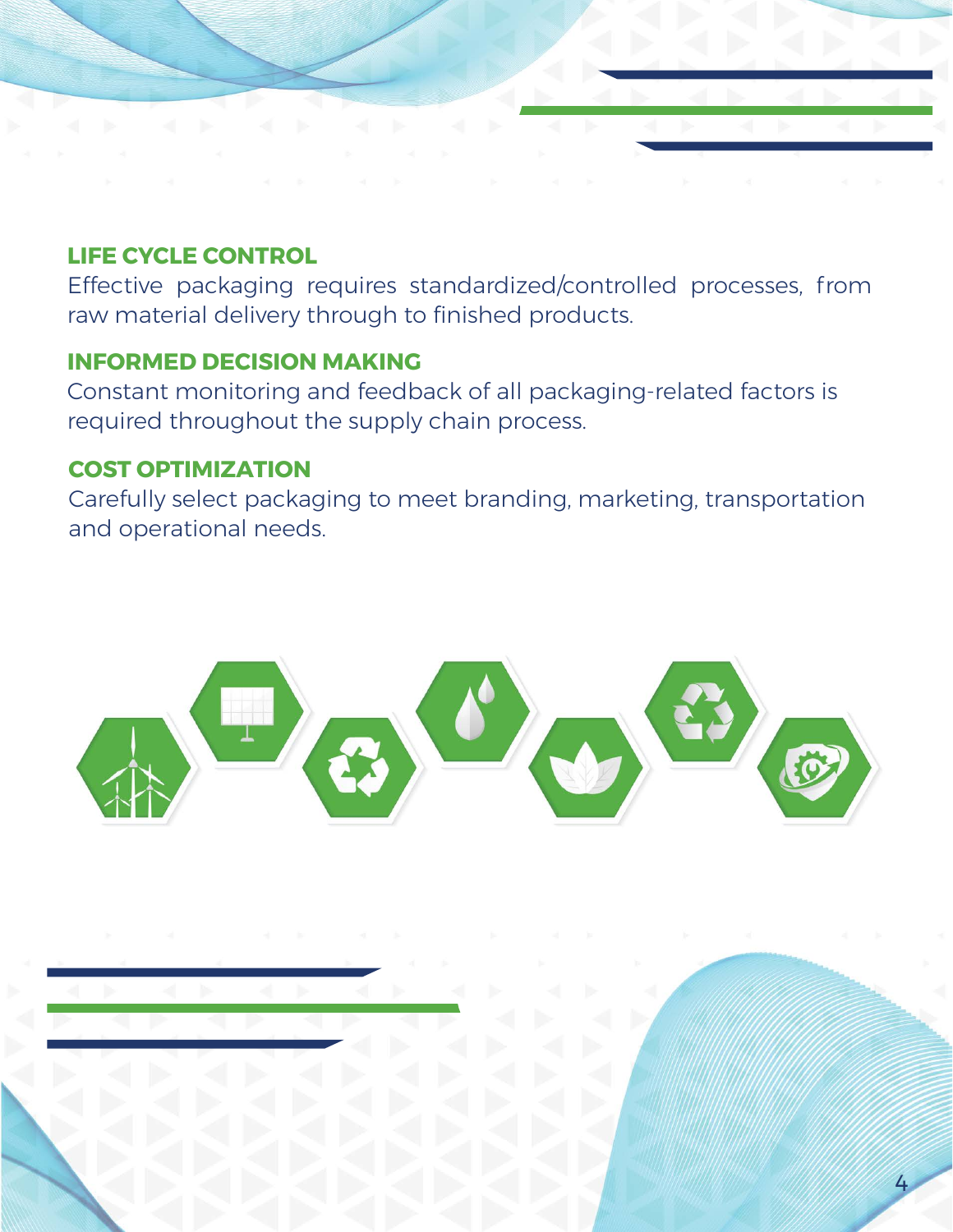### **LIFE CYCLE CONTROL**

Effective packaging requires standardized/controlled processes, from raw material delivery through to finished products.

### **INFORMED DECISION MAKING**

Constant monitoring and feedback of all packaging-related factors is required throughout the supply chain process.

#### **COST OPTIMIZATION**

Carefully select packaging to meet branding, marketing, transportation and operational needs.



4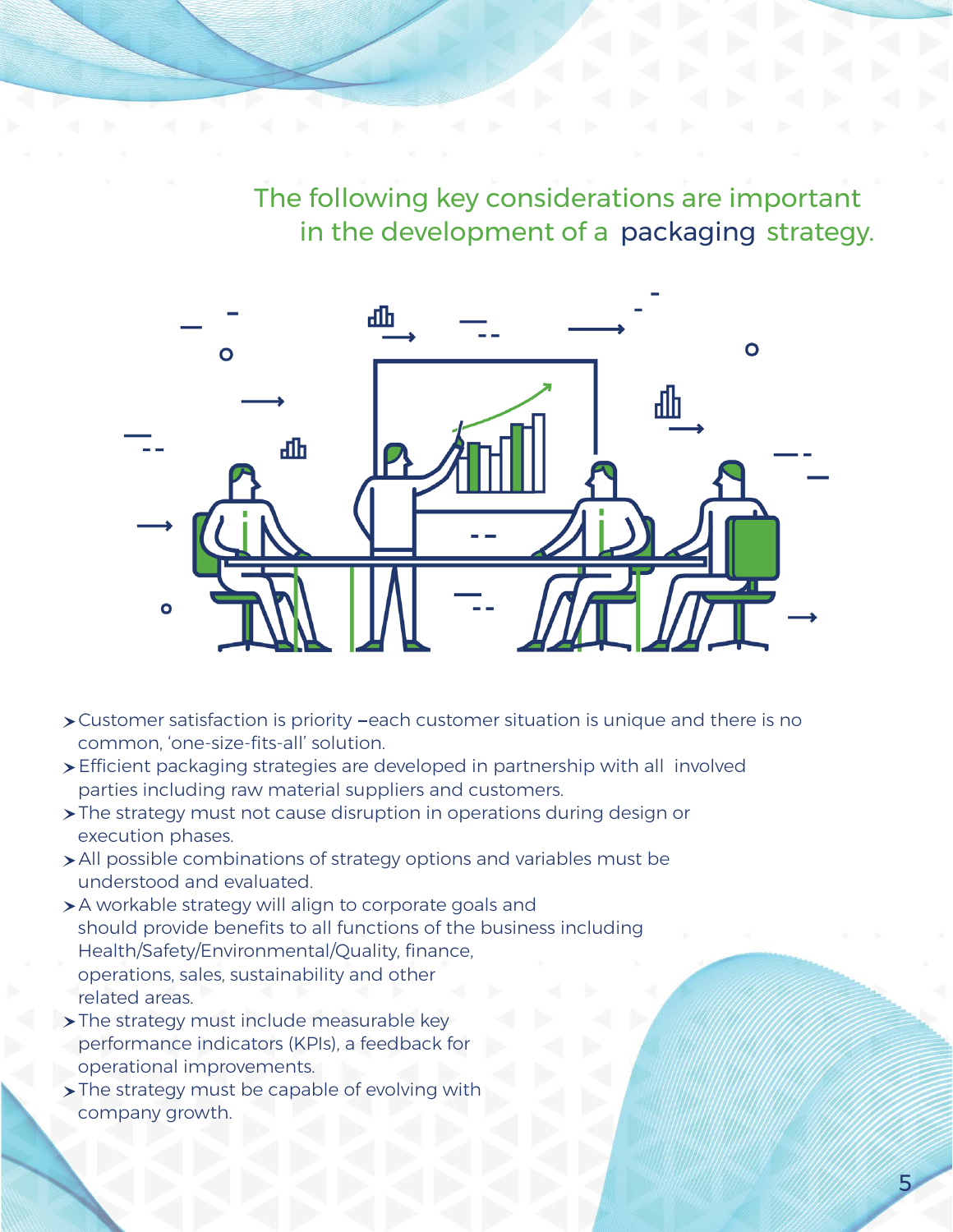The following key considerations are important in the development of a packaging strategy.

5



- Customer satisfaction is priority each customer situation is unique and there is no common, 'one-size-fits-all' solution.
- Efficient packaging strategies are developed in partnership with all involved parties including raw material suppliers and customers.
- The strategy must not cause disruption in operations during design or execution phases.
- All possible combinations of strategy options and variables must be understood and evaluated.
- A workable strategy will align to corporate goals and should provide benefits to all functions of the business including Health/Safety/Environmental/Quality, finance, operations, sales, sustainability and other related areas.
- > The strategy must include measurable key performance indicators (KPIs), a feedback for operational improvements.
- The strategy must be capable of evolving with company growth.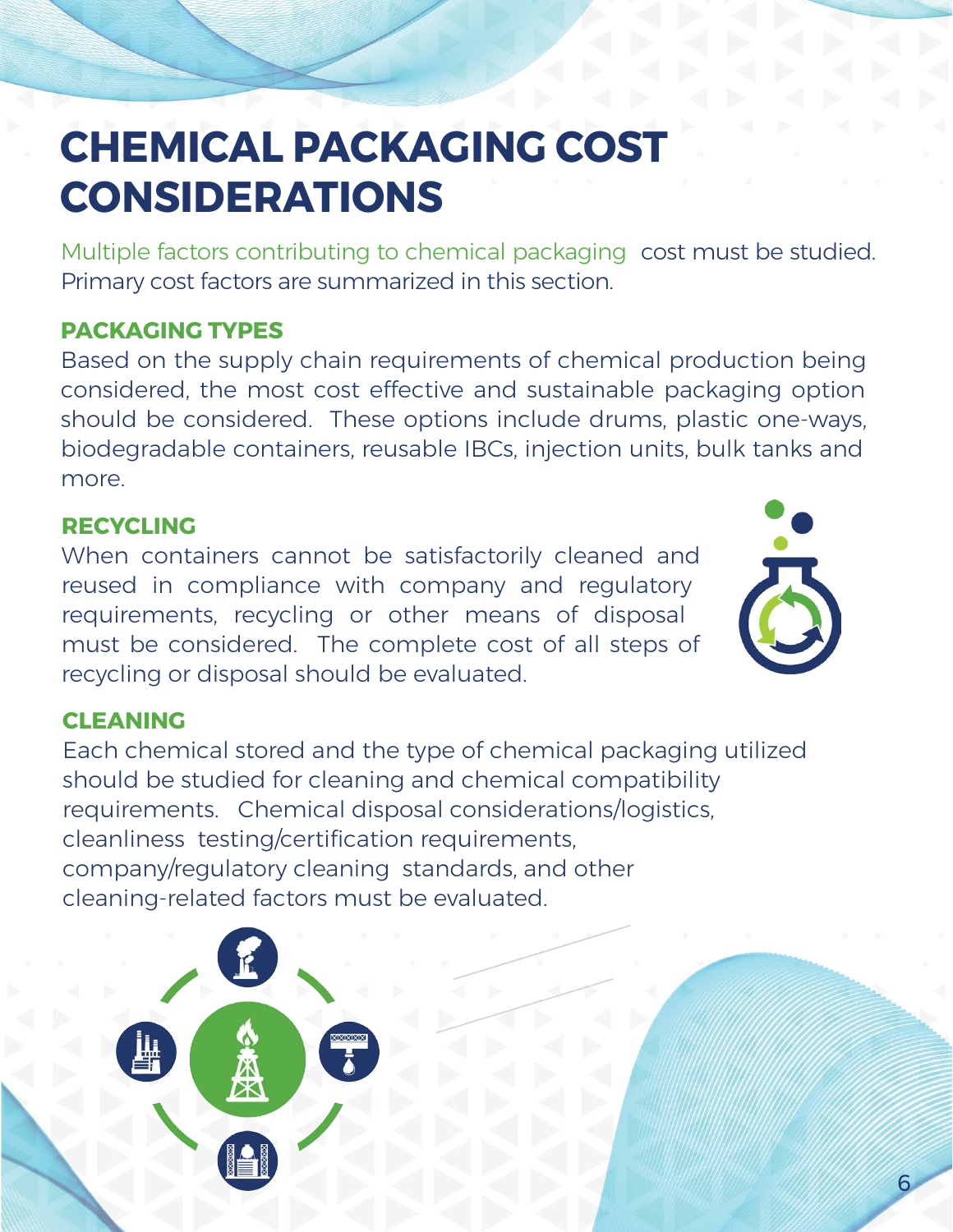# **CHEMICAL PACKAGING COST CONSIDERATIONS**

Multiple factors contributing to chemical packaging cost must be studied. Primary cost factors are summarized in this section.

### **PACKAGING TYPES**

Based on the supply chain requirements of chemical production being considered, the most cost effective and sustainable packaging option should be considered. These options include drums, plastic one-ways, biodegradable containers, reusable IBCs, injection units, bulk tanks and more.

### **RECYCLING**

When containers cannot be satisfactorily cleaned and reused in compliance with company and regulatory requirements, recycling or other means of disposal must be considered. The complete cost of all steps of recycling or disposal should be evaluated.



6

#### **CLEANING**

Each chemical stored and the type of chemical packaging utilized should be studied for cleaning and chemical compatibility requirements. Chemical disposal considerations/logistics, cleanliness testing/certification requirements, company/regulatory cleaning standards, and other cleaning-related factors must be evaluated.

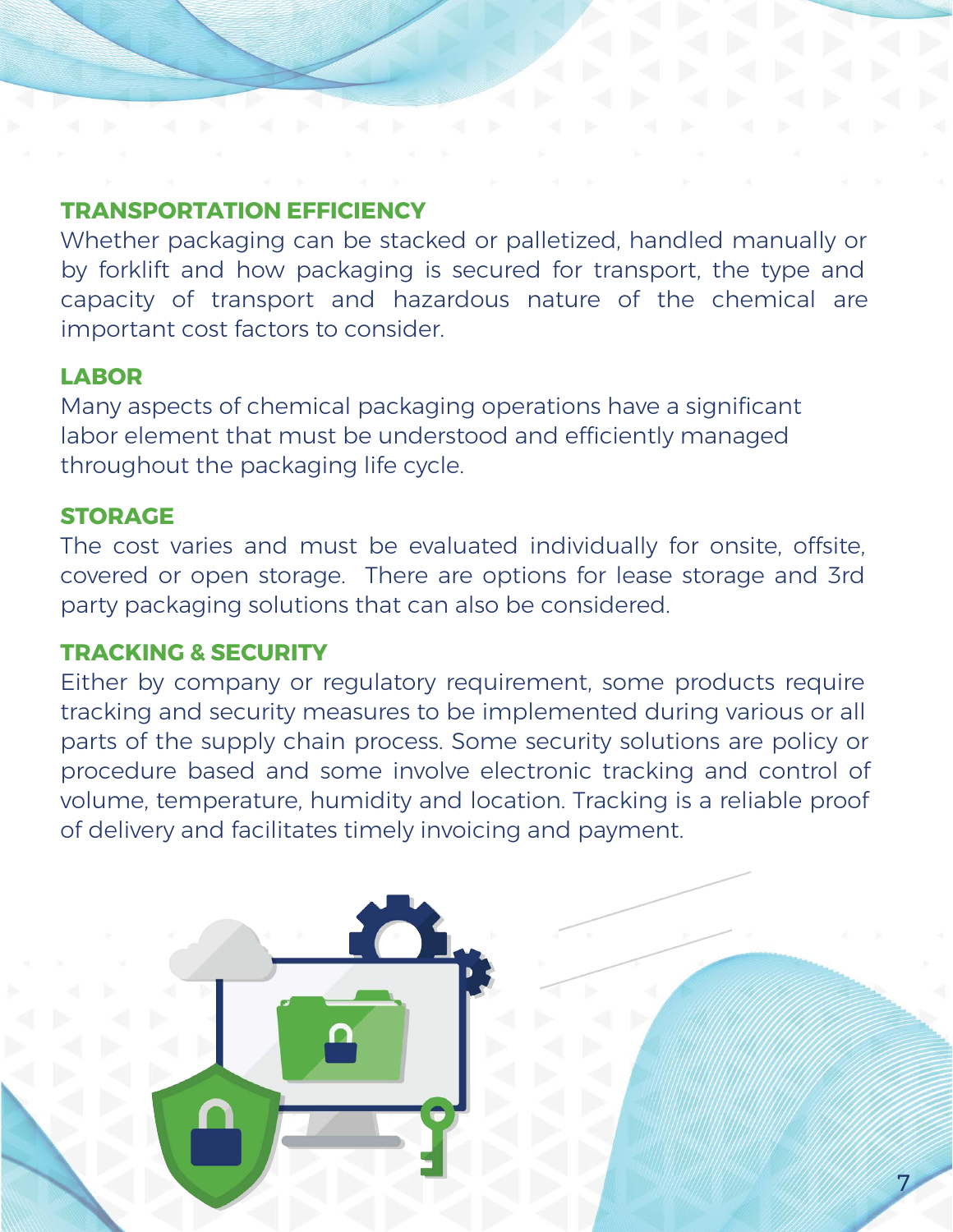### **TRANSPORTATION EFFICIENCY**

Whether packaging can be stacked or palletized, handled manually or by forklift and how packaging is secured for transport, the type and capacity of transport and hazardous nature of the chemical are important cost factors to consider.

### **LABOR**

Many aspects of chemical packaging operations have a significant labor element that must be understood and efficiently managed throughout the packaging life cycle.

### **STORAGE**

The cost varies and must be evaluated individually for onsite, offsite, covered or open storage. There are options for lease storage and 3rd party packaging solutions that can also be considered.

#### **TRACKING & SECURITY**

Either by company or regulatory requirement, some products require tracking and security measures to be implemented during various or all parts of the supply chain process. Some security solutions are policy or procedure based and some involve electronic tracking and control of volume, temperature, humidity and location. Tracking is a reliable proof of delivery and facilitates timely invoicing and payment.

7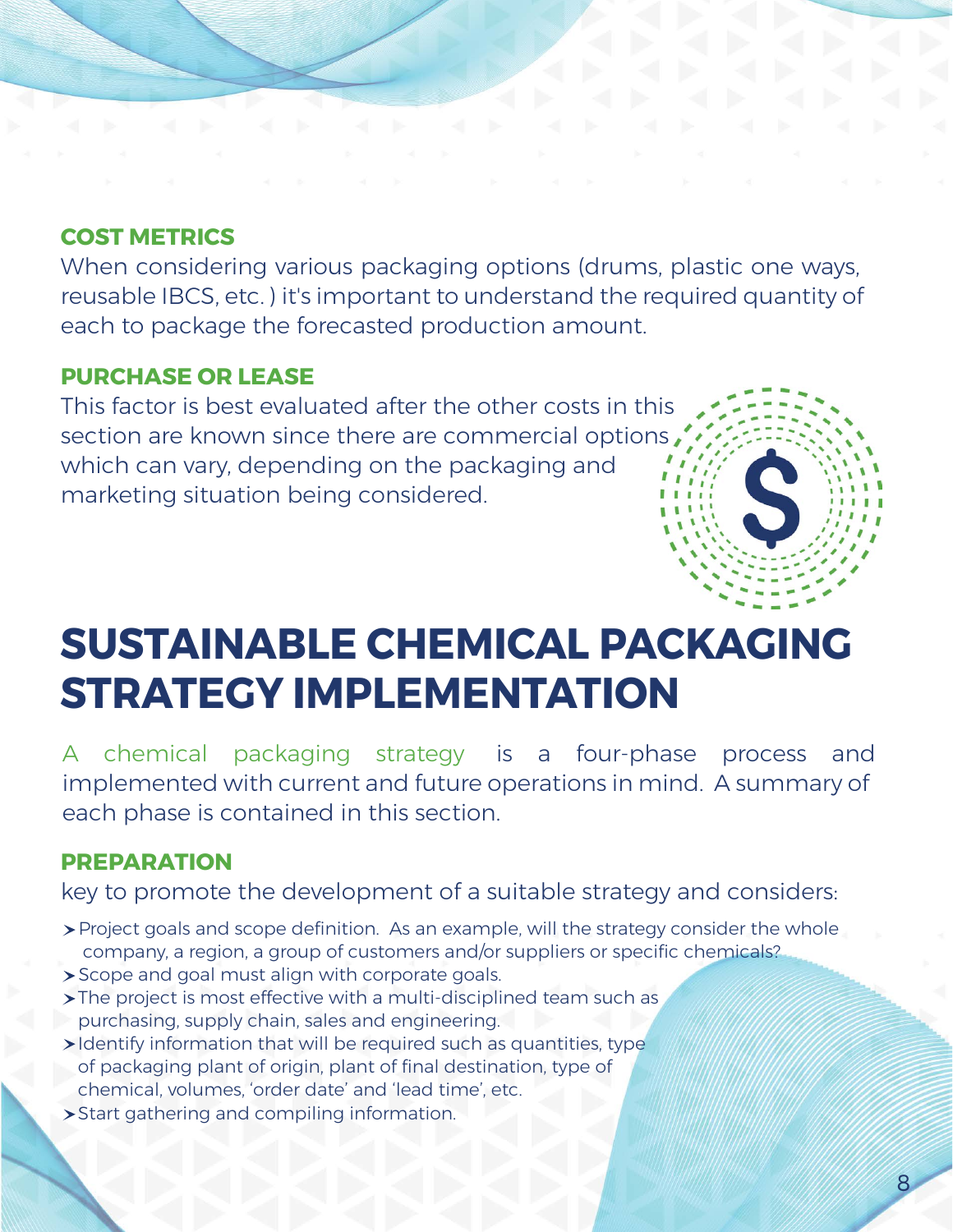### **COST METRICS**

When considering various packaging options (drums, plastic one ways, reusable IBCS, etc. ) it's important to understand the required quantity of each to package the forecasted production amount.

#### **PURCHASE OR LEASE**

This factor is best evaluated after the other costs in this section are known since there are commercial options which can vary, depending on the packaging and marketing situation being considered.



## **SUSTAINABLE CHEMICAL PACKAGING STRATEGY IMPLEMENTATION**

A chemical packaging strategy is a four-phase process and implemented with current and future operations in mind. A summary of each phase is contained in this section.

#### **PREPARATION**

key to promote the development of a suitable strategy and considers:

- Project goals and scope definition. As an example, will the strategy consider the whole company, a region, a group of customers and/or suppliers or specific chemicals?
- Scope and goal must align with corporate goals.
- > The project is most effective with a multi-disciplined team such as purchasing, supply chain, sales and engineering.
- Identify information that will be required such as quantities, type of packaging plant of origin, plant of final destination, type of chemical, volumes, 'order date' and 'lead time', etc.
- Start gathering and compiling information.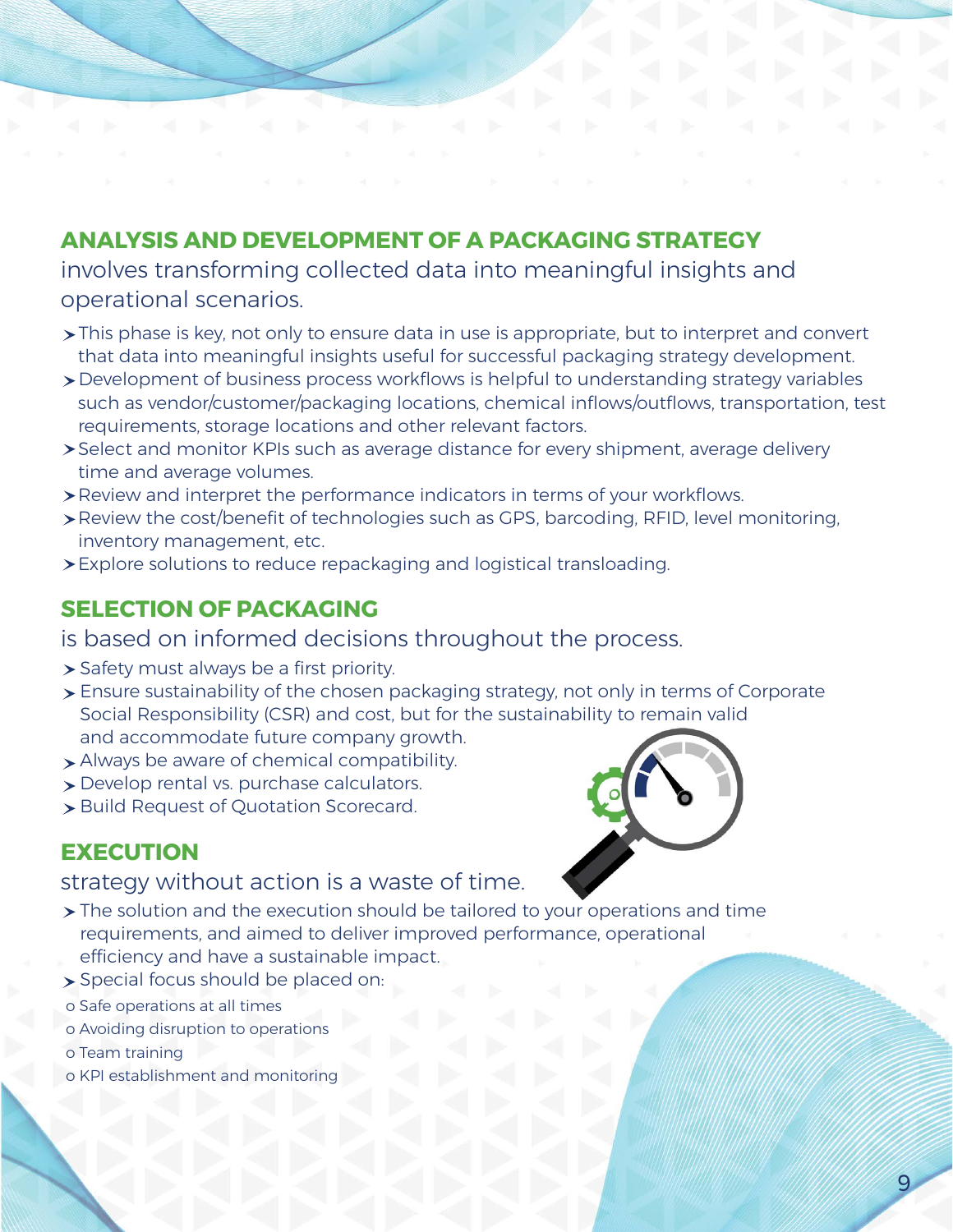## **ANALYSIS AND DEVELOPMENT OF A PACKAGING STRATEGY**

involves transforming collected data into meaningful insights and operational scenarios.

- This phase is key, not only to ensure data in use is appropriate, but to interpret and convert that data into meaningful insights useful for successful packaging strategy development.
- Development of business process workflows is helpful to understanding strategy variables such as vendor/customer/packaging locations, chemical inflows/outflows, transportation, test requirements, storage locations and other relevant factors.
- Select and monitor KPIs such as average distance for every shipment, average delivery time and average volumes.
- Review and interpret the performance indicators in terms of your workflows.
- Review the cost/benefit of technologies such as GPS, barcoding, RFID, level monitoring, inventory management, etc.
- Explore solutions to reduce repackaging and logistical transloading.

### **SELECTION OF PACKAGING**

is based on informed decisions throughout the process.

- > Safety must always be a first priority.
- Ensure sustainability of the chosen packaging strategy, not only in terms of Corporate Social Responsibility (CSR) and cost, but for the sustainability to remain valid and accommodate future company growth.
- > Always be aware of chemical compatibility.
- Develop rental vs. purchase calculators.
- > Build Request of Quotation Scorecard.

### **EXECUTION**

#### strategy without action is a waste of time.

- $\triangleright$  The solution and the execution should be tailored to your operations and time requirements, and aimed to deliver improved performance, operational efficiency and have a sustainable impact.
- Special focus should be placed on:
- o Safe operations at all times
- o Avoiding disruption to operations
- o Team training
- o KPI establishment and monitoring